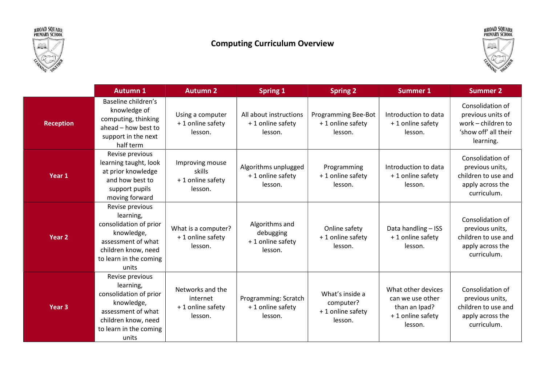



## Computing Curriculum Overview



|                   | <b>Autumn 1</b>                                                                                                                                      | <b>Autumn 2</b>                                              | <b>Spring 1</b>                                            | <b>Spring 2</b>                                             | <b>Summer 1</b>                                                                         | <b>Summer 2</b>                                                                                  |
|-------------------|------------------------------------------------------------------------------------------------------------------------------------------------------|--------------------------------------------------------------|------------------------------------------------------------|-------------------------------------------------------------|-----------------------------------------------------------------------------------------|--------------------------------------------------------------------------------------------------|
| <b>Reception</b>  | Baseline children's<br>knowledge of<br>computing, thinking<br>ahead - how best to<br>support in the next<br>half term                                | Using a computer<br>+1 online safety<br>lesson.              | All about instructions<br>+1 online safety<br>lesson.      | <b>Programming Bee-Bot</b><br>+1 online safety<br>lesson.   | Introduction to data<br>+1 online safety<br>lesson.                                     | Consolidation of<br>previous units of<br>work - children to<br>'show off' all their<br>learning. |
| Year 1            | Revise previous<br>learning taught, look<br>at prior knowledge<br>and how best to<br>support pupils<br>moving forward                                | Improving mouse<br>skills<br>+ 1 online safety<br>lesson.    | Algorithms unplugged<br>+1 online safety<br>lesson.        | Programming<br>+1 online safety<br>lesson.                  | Introduction to data<br>+1 online safety<br>lesson.                                     | Consolidation of<br>previous units,<br>children to use and<br>apply across the<br>curriculum.    |
| Year <sub>2</sub> | Revise previous<br>learning,<br>consolidation of prior<br>knowledge,<br>assessment of what<br>children know, need<br>to learn in the coming<br>units | What is a computer?<br>+ 1 online safety<br>lesson.          | Algorithms and<br>debugging<br>+1 online safety<br>lesson. | Online safety<br>+1 online safety<br>lesson.                | Data handling - ISS<br>+ 1 online safety<br>lesson.                                     | Consolidation of<br>previous units,<br>children to use and<br>apply across the<br>curriculum.    |
| Year <sub>3</sub> | Revise previous<br>learning,<br>consolidation of prior<br>knowledge,<br>assessment of what<br>children know, need<br>to learn in the coming<br>units | Networks and the<br>internet<br>+ 1 online safety<br>lesson. | Programming: Scratch<br>+1 online safety<br>lesson.        | What's inside a<br>computer?<br>+1 online safety<br>lesson. | What other devices<br>can we use other<br>than an Ipad?<br>+ 1 online safety<br>lesson. | Consolidation of<br>previous units,<br>children to use and<br>apply across the<br>curriculum.    |